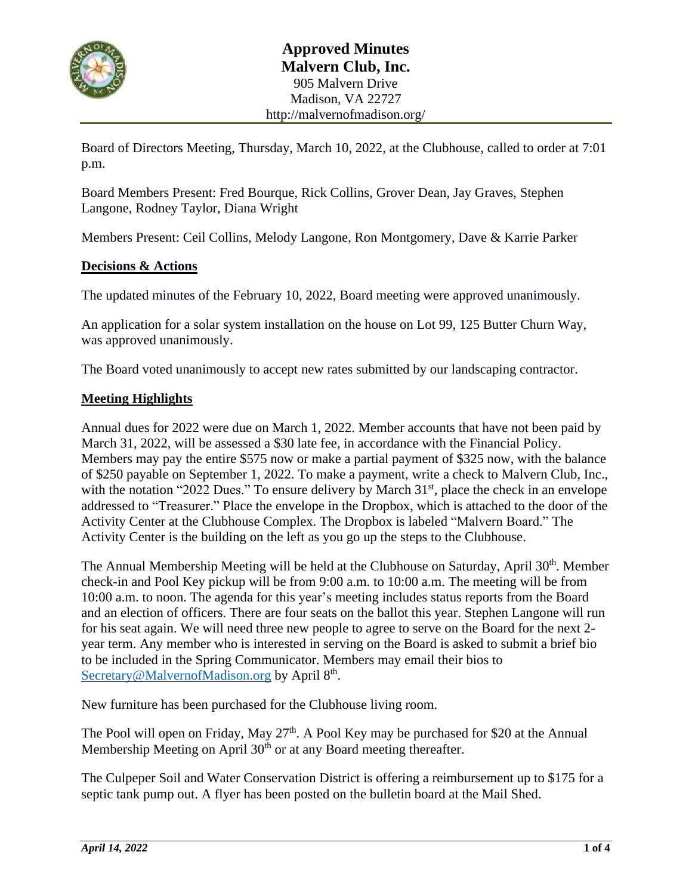

Board of Directors Meeting, Thursday, March 10, 2022, at the Clubhouse, called to order at 7:01 p.m.

Board Members Present: Fred Bourque, Rick Collins, Grover Dean, Jay Graves, Stephen Langone, Rodney Taylor, Diana Wright

Members Present: Ceil Collins, Melody Langone, Ron Montgomery, Dave & Karrie Parker

#### **Decisions & Actions**

The updated minutes of the February 10, 2022, Board meeting were approved unanimously.

An application for a solar system installation on the house on Lot 99, 125 Butter Churn Way, was approved unanimously.

The Board voted unanimously to accept new rates submitted by our landscaping contractor.

#### **Meeting Highlights**

Annual dues for 2022 were due on March 1, 2022. Member accounts that have not been paid by March 31, 2022, will be assessed a \$30 late fee, in accordance with the Financial Policy. Members may pay the entire \$575 now or make a partial payment of \$325 now, with the balance of \$250 payable on September 1, 2022. To make a payment, write a check to Malvern Club, Inc., with the notation "2022 Dues." To ensure delivery by March 31<sup>st</sup>, place the check in an envelope addressed to "Treasurer." Place the envelope in the Dropbox, which is attached to the door of the Activity Center at the Clubhouse Complex. The Dropbox is labeled "Malvern Board." The Activity Center is the building on the left as you go up the steps to the Clubhouse.

The Annual Membership Meeting will be held at the Clubhouse on Saturday, April 30<sup>th</sup>. Member check-in and Pool Key pickup will be from 9:00 a.m. to 10:00 a.m. The meeting will be from 10:00 a.m. to noon. The agenda for this year's meeting includes status reports from the Board and an election of officers. There are four seats on the ballot this year. Stephen Langone will run for his seat again. We will need three new people to agree to serve on the Board for the next 2 year term. Any member who is interested in serving on the Board is asked to submit a brief bio to be included in the Spring Communicator. Members may email their bios to [Secretary@MalvernofMadison.org](mailto:Secretary@MalvernofMadison.org) by April 8<sup>th</sup>.

New furniture has been purchased for the Clubhouse living room.

The Pool will open on Friday, May  $27<sup>th</sup>$ . A Pool Key may be purchased for \$20 at the Annual Membership Meeting on April  $30<sup>th</sup>$  or at any Board meeting thereafter.

The Culpeper Soil and Water Conservation District is offering a reimbursement up to \$175 for a septic tank pump out. A flyer has been posted on the bulletin board at the Mail Shed.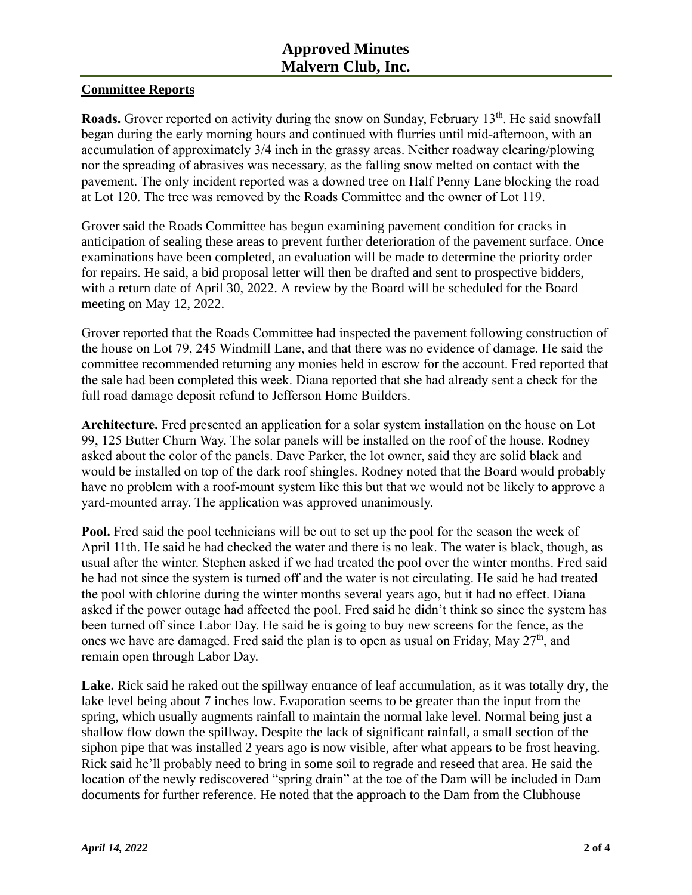### **Committee Reports**

Roads. Grover reported on activity during the snow on Sunday, February 13<sup>th</sup>. He said snowfall began during the early morning hours and continued with flurries until mid-afternoon, with an accumulation of approximately 3/4 inch in the grassy areas. Neither roadway clearing/plowing nor the spreading of abrasives was necessary, as the falling snow melted on contact with the pavement. The only incident reported was a downed tree on Half Penny Lane blocking the road at Lot 120. The tree was removed by the Roads Committee and the owner of Lot 119.

Grover said the Roads Committee has begun examining pavement condition for cracks in anticipation of sealing these areas to prevent further deterioration of the pavement surface. Once examinations have been completed, an evaluation will be made to determine the priority order for repairs. He said, a bid proposal letter will then be drafted and sent to prospective bidders, with a return date of April 30, 2022. A review by the Board will be scheduled for the Board meeting on May 12, 2022.

Grover reported that the Roads Committee had inspected the pavement following construction of the house on Lot 79, 245 Windmill Lane, and that there was no evidence of damage. He said the committee recommended returning any monies held in escrow for the account. Fred reported that the sale had been completed this week. Diana reported that she had already sent a check for the full road damage deposit refund to Jefferson Home Builders.

**Architecture.** Fred presented an application for a solar system installation on the house on Lot 99, 125 Butter Churn Way. The solar panels will be installed on the roof of the house. Rodney asked about the color of the panels. Dave Parker, the lot owner, said they are solid black and would be installed on top of the dark roof shingles. Rodney noted that the Board would probably have no problem with a roof-mount system like this but that we would not be likely to approve a yard-mounted array. The application was approved unanimously.

**Pool.** Fred said the pool technicians will be out to set up the pool for the season the week of April 11th. He said he had checked the water and there is no leak. The water is black, though, as usual after the winter. Stephen asked if we had treated the pool over the winter months. Fred said he had not since the system is turned off and the water is not circulating. He said he had treated the pool with chlorine during the winter months several years ago, but it had no effect. Diana asked if the power outage had affected the pool. Fred said he didn't think so since the system has been turned off since Labor Day. He said he is going to buy new screens for the fence, as the ones we have are damaged. Fred said the plan is to open as usual on Friday, May  $27<sup>th</sup>$ , and remain open through Labor Day.

**Lake.** Rick said he raked out the spillway entrance of leaf accumulation, as it was totally dry, the lake level being about 7 inches low. Evaporation seems to be greater than the input from the spring, which usually augments rainfall to maintain the normal lake level. Normal being just a shallow flow down the spillway. Despite the lack of significant rainfall, a small section of the siphon pipe that was installed 2 years ago is now visible, after what appears to be frost heaving. Rick said he'll probably need to bring in some soil to regrade and reseed that area. He said the location of the newly rediscovered "spring drain" at the toe of the Dam will be included in Dam documents for further reference. He noted that the approach to the Dam from the Clubhouse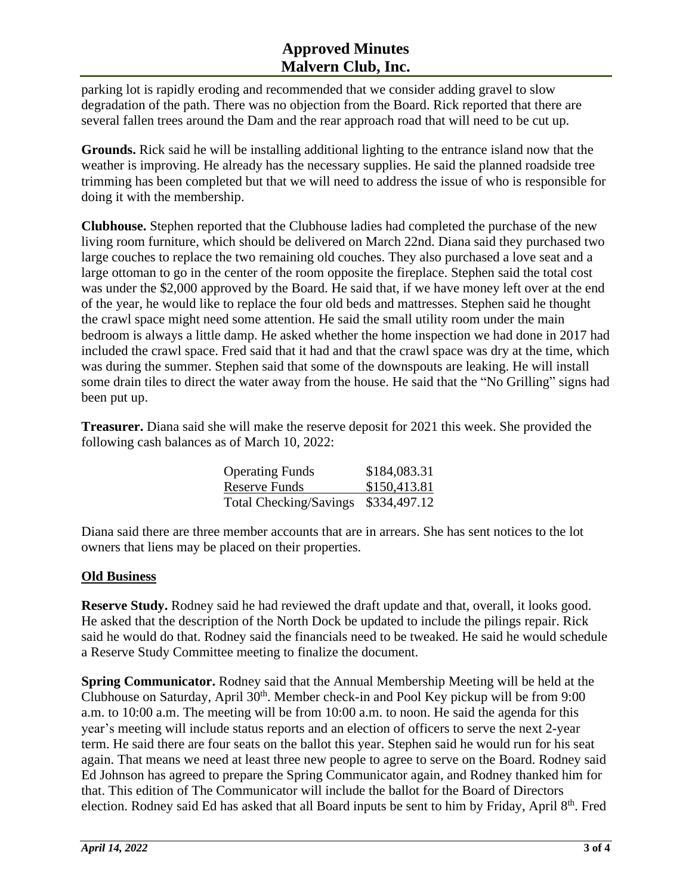# **Approved Minutes Malvern Club, Inc.**

parking lot is rapidly eroding and recommended that we consider adding gravel to slow degradation of the path. There was no objection from the Board. Rick reported that there are several fallen trees around the Dam and the rear approach road that will need to be cut up.

**Grounds.** Rick said he will be installing additional lighting to the entrance island now that the weather is improving. He already has the necessary supplies. He said the planned roadside tree trimming has been completed but that we will need to address the issue of who is responsible for doing it with the membership.

**Clubhouse.** Stephen reported that the Clubhouse ladies had completed the purchase of the new living room furniture, which should be delivered on March 22nd. Diana said they purchased two large couches to replace the two remaining old couches. They also purchased a love seat and a large ottoman to go in the center of the room opposite the fireplace. Stephen said the total cost was under the \$2,000 approved by the Board. He said that, if we have money left over at the end of the year, he would like to replace the four old beds and mattresses. Stephen said he thought the crawl space might need some attention. He said the small utility room under the main bedroom is always a little damp. He asked whether the home inspection we had done in 2017 had included the crawl space. Fred said that it had and that the crawl space was dry at the time, which was during the summer. Stephen said that some of the downspouts are leaking. He will install some drain tiles to direct the water away from the house. He said that the "No Grilling" signs had been put up.

**Treasurer.** Diana said she will make the reserve deposit for 2021 this week. She provided the following cash balances as of March 10, 2022:

| <b>Operating Funds</b>              | \$184,083.31 |
|-------------------------------------|--------------|
| Reserve Funds                       | \$150,413.81 |
| Total Checking/Savings \$334,497.12 |              |

Diana said there are three member accounts that are in arrears. She has sent notices to the lot owners that liens may be placed on their properties.

## **Old Business**

**Reserve Study.** Rodney said he had reviewed the draft update and that, overall, it looks good. He asked that the description of the North Dock be updated to include the pilings repair. Rick said he would do that. Rodney said the financials need to be tweaked. He said he would schedule a Reserve Study Committee meeting to finalize the document.

**Spring Communicator.** Rodney said that the Annual Membership Meeting will be held at the Clubhouse on Saturday, April  $30<sup>th</sup>$ . Member check-in and Pool Key pickup will be from 9:00 a.m. to 10:00 a.m. The meeting will be from 10:00 a.m. to noon. He said the agenda for this year's meeting will include status reports and an election of officers to serve the next 2-year term. He said there are four seats on the ballot this year. Stephen said he would run for his seat again. That means we need at least three new people to agree to serve on the Board. Rodney said Ed Johnson has agreed to prepare the Spring Communicator again, and Rodney thanked him for that. This edition of The Communicator will include the ballot for the Board of Directors election. Rodney said Ed has asked that all Board inputs be sent to him by Friday, April 8<sup>th</sup>. Fred